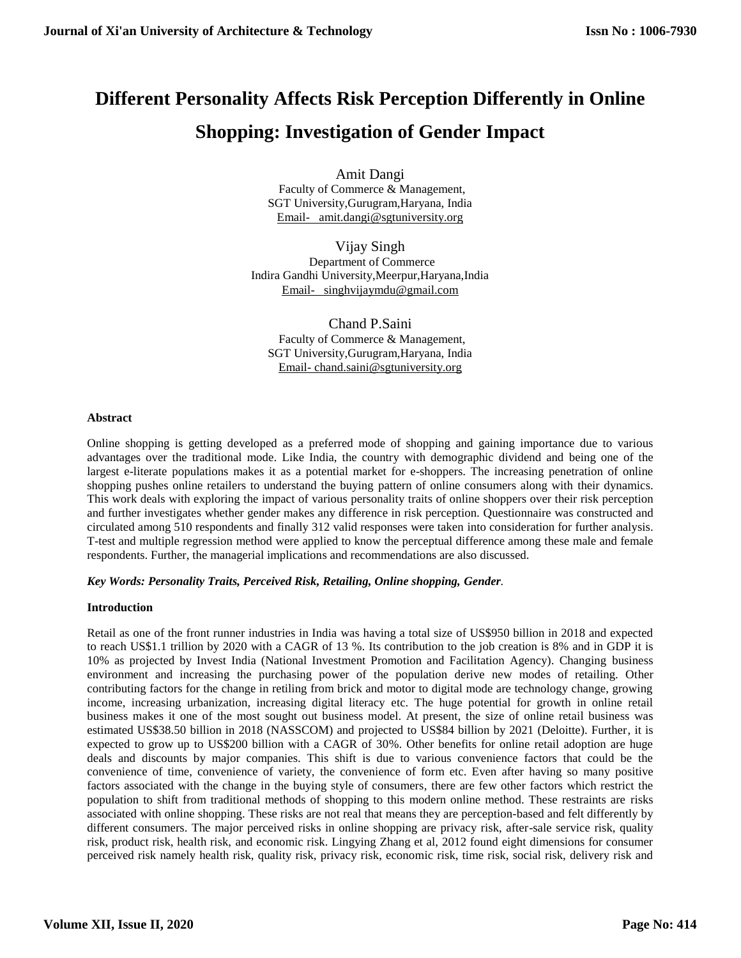# **Different Personality Affects Risk Perception Differently in Online Shopping: Investigation of Gender Impact**

Amit Dangi Faculty of Commerce & Management, SGT University,Gurugram,Haryana, India [Email- amit.dangi@sgtuniversity.org](mailto:Email-%20%20%20amit.dangi@sgtuniversity.org)

Vijay Singh Department of Commerce Indira Gandhi University,Meerpur,Haryana,India [Email- singhvijaymdu@gmail.com](mailto:Email-%20%20%20singhvijaymdu@gmail.com)

Chand P.Saini Faculty of Commerce & Management, SGT University,Gurugram,Haryana, India Email- [chand.saini@sgtuniversity.org](mailto:Email-%20chand.saini@sgtuniversity.org)

## **Abstract**

Online shopping is getting developed as a preferred mode of shopping and gaining importance due to various advantages over the traditional mode. Like India, the country with demographic dividend and being one of the largest e-literate populations makes it as a potential market for e-shoppers. The increasing penetration of online shopping pushes online retailers to understand the buying pattern of online consumers along with their dynamics. This work deals with exploring the impact of various personality traits of online shoppers over their risk perception and further investigates whether gender makes any difference in risk perception. Questionnaire was constructed and circulated among 510 respondents and finally 312 valid responses were taken into consideration for further analysis. T-test and multiple regression method were applied to know the perceptual difference among these male and female respondents. Further, the managerial implications and recommendations are also discussed.

## *Key Words: Personality Traits, Perceived Risk, Retailing, Online shopping, Gender.*

#### **Introduction**

Retail as one of the front runner industries in India was having a total size of US\$950 billion in 2018 and expected to reach US\$1.1 trillion by 2020 with a CAGR of 13 %. Its contribution to the job creation is 8% and in GDP it is 10% as projected by Invest India (National Investment Promotion and Facilitation Agency). Changing business environment and increasing the purchasing power of the population derive new modes of retailing. Other contributing factors for the change in retiling from brick and motor to digital mode are technology change, growing income, increasing urbanization, increasing digital literacy etc. The huge potential for growth in online retail business makes it one of the most sought out business model. At present, the size of online retail business was estimated US\$38.50 billion in 2018 (NASSCOM) and projected to US\$84 billion by 2021 (Deloitte). Further, it is expected to grow up to US\$200 billion with a CAGR of 30%. Other benefits for online retail adoption are huge deals and discounts by major companies. This shift is due to various convenience factors that could be the convenience of time, convenience of variety, the convenience of form etc. Even after having so many positive factors associated with the change in the buying style of consumers, there are few other factors which restrict the population to shift from traditional methods of shopping to this modern online method. These restraints are risks associated with online shopping. These risks are not real that means they are perception-based and felt differently by different consumers. The major perceived risks in online shopping are privacy risk, after-sale service risk, quality risk, product risk, health risk, and economic risk. Lingying Zhang et al, 2012 found eight dimensions for consumer perceived risk namely health risk, quality risk, privacy risk, economic risk, time risk, social risk, delivery risk and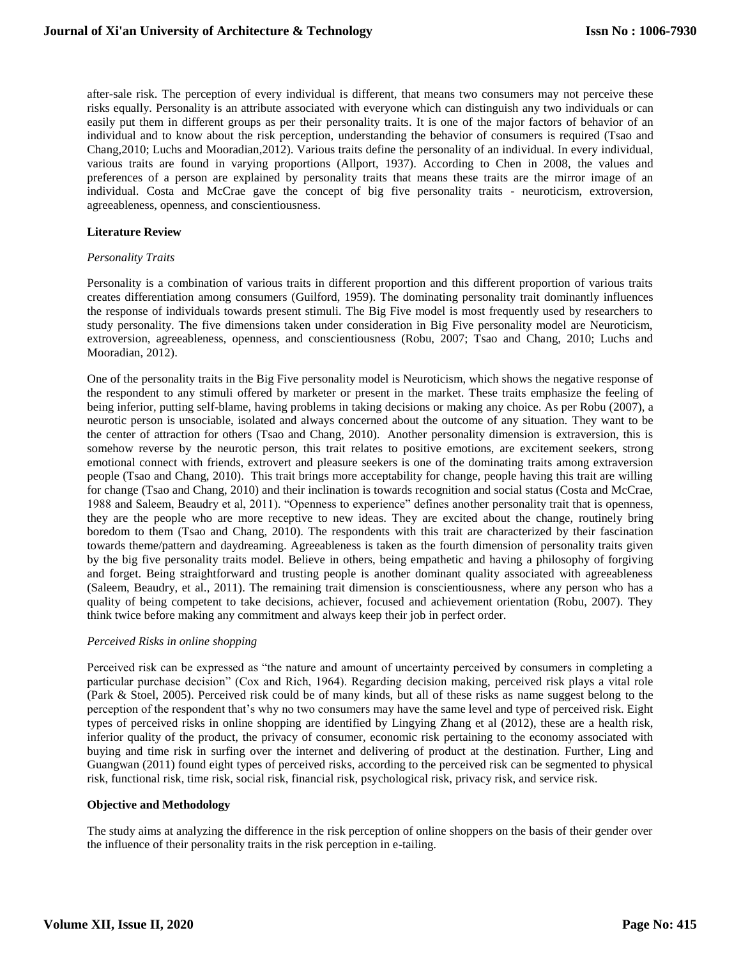after-sale risk. The perception of every individual is different, that means two consumers may not perceive these risks equally. Personality is an attribute associated with everyone which can distinguish any two individuals or can easily put them in different groups as per their personality traits. It is one of the major factors of behavior of an individual and to know about the risk perception, understanding the behavior of consumers is required (Tsao and Chang,2010; Luchs and Mooradian,2012). Various traits define the personality of an individual. In every individual, various traits are found in varying proportions (Allport, 1937). According to Chen in 2008, the values and preferences of a person are explained by personality traits that means these traits are the mirror image of an individual. Costa and McCrae gave the concept of big five personality traits - neuroticism, extroversion, agreeableness, openness, and conscientiousness.

## **Literature Review**

#### *Personality Traits*

Personality is a combination of various traits in different proportion and this different proportion of various traits creates differentiation among consumers (Guilford, 1959). The dominating personality trait dominantly influences the response of individuals towards present stimuli. The Big Five model is most frequently used by researchers to study personality. The five dimensions taken under consideration in Big Five personality model are Neuroticism, extroversion, agreeableness, openness, and conscientiousness (Robu, 2007; Tsao and Chang, 2010; Luchs and Mooradian, 2012).

One of the personality traits in the Big Five personality model is Neuroticism, which shows the negative response of the respondent to any stimuli offered by marketer or present in the market. These traits emphasize the feeling of being inferior, putting self-blame, having problems in taking decisions or making any choice. As per Robu (2007), a neurotic person is unsociable, isolated and always concerned about the outcome of any situation. They want to be the center of attraction for others (Tsao and Chang, 2010). Another personality dimension is extraversion, this is somehow reverse by the neurotic person, this trait relates to positive emotions, are excitement seekers, strong emotional connect with friends, extrovert and pleasure seekers is one of the dominating traits among extraversion people (Tsao and Chang, 2010). This trait brings more acceptability for change, people having this trait are willing for change (Tsao and Chang, 2010) and their inclination is towards recognition and social status (Costa and McCrae, 1988 and Saleem, Beaudry et al, 2011). "Openness to experience" defines another personality trait that is openness, they are the people who are more receptive to new ideas. They are excited about the change, routinely bring boredom to them (Tsao and Chang, 2010). The respondents with this trait are characterized by their fascination towards theme/pattern and daydreaming. Agreeableness is taken as the fourth dimension of personality traits given by the big five personality traits model. Believe in others, being empathetic and having a philosophy of forgiving and forget. Being straightforward and trusting people is another dominant quality associated with agreeableness (Saleem, Beaudry, et al., 2011). The remaining trait dimension is conscientiousness, where any person who has a quality of being competent to take decisions, achiever, focused and achievement orientation (Robu, 2007). They think twice before making any commitment and always keep their job in perfect order.

#### *Perceived Risks in online shopping*

Perceived risk can be expressed as "the nature and amount of uncertainty perceived by consumers in completing a particular purchase decision" (Cox and Rich, 1964). Regarding decision making, perceived risk plays a vital role (Park & Stoel, 2005). Perceived risk could be of many kinds, but all of these risks as name suggest belong to the perception of the respondent that's why no two consumers may have the same level and type of perceived risk. Eight types of perceived risks in online shopping are identified by Lingying Zhang et al (2012), these are a health risk, inferior quality of the product, the privacy of consumer, economic risk pertaining to the economy associated with buying and time risk in surfing over the internet and delivering of product at the destination. Further, Ling and Guangwan (2011) found eight types of perceived risks, according to the perceived risk can be segmented to physical risk, functional risk, time risk, social risk, financial risk, psychological risk, privacy risk, and service risk.

## **Objective and Methodology**

The study aims at analyzing the difference in the risk perception of online shoppers on the basis of their gender over the influence of their personality traits in the risk perception in e-tailing.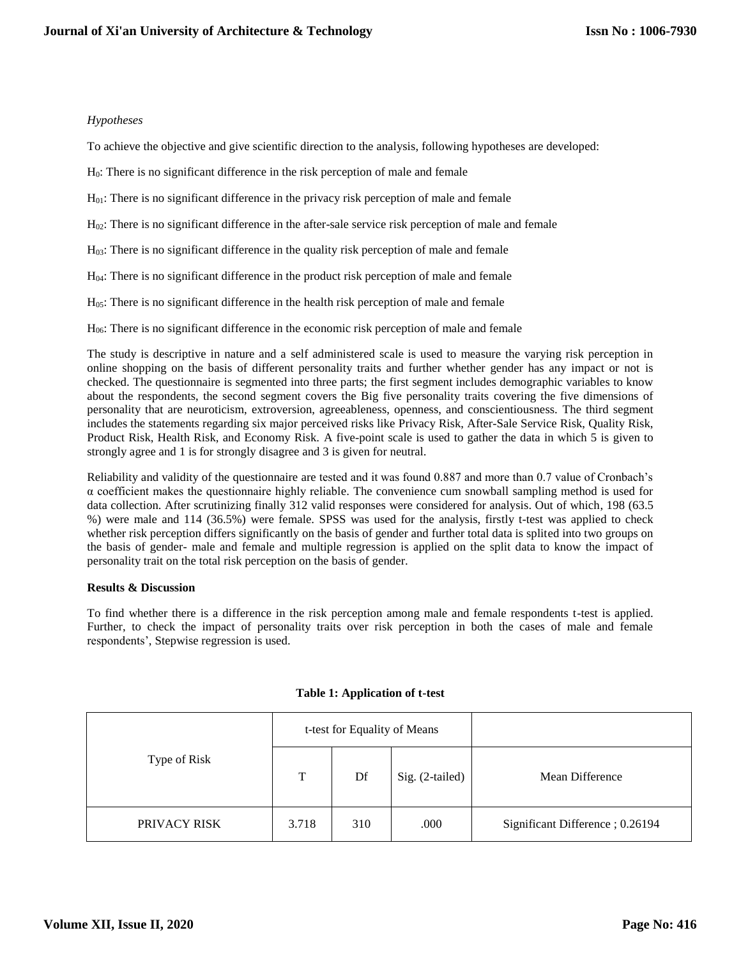# *Hypotheses*

To achieve the objective and give scientific direction to the analysis, following hypotheses are developed:

H0: There is no significant difference in the risk perception of male and female

H01: There is no significant difference in the privacy risk perception of male and female

H02: There is no significant difference in the after-sale service risk perception of male and female

H03: There is no significant difference in the quality risk perception of male and female

H04: There is no significant difference in the product risk perception of male and female

H05: There is no significant difference in the health risk perception of male and female

H06: There is no significant difference in the economic risk perception of male and female

The study is descriptive in nature and a self administered scale is used to measure the varying risk perception in online shopping on the basis of different personality traits and further whether gender has any impact or not is checked. The questionnaire is segmented into three parts; the first segment includes demographic variables to know about the respondents, the second segment covers the Big five personality traits covering the five dimensions of personality that are neuroticism, extroversion, agreeableness, openness, and conscientiousness. The third segment includes the statements regarding six major perceived risks like Privacy Risk, After-Sale Service Risk, Quality Risk, Product Risk, Health Risk, and Economy Risk. A five-point scale is used to gather the data in which 5 is given to strongly agree and 1 is for strongly disagree and 3 is given for neutral.

Reliability and validity of the questionnaire are tested and it was found 0.887 and more than 0.7 value of Cronbach's α coefficient makes the questionnaire highly reliable. The convenience cum snowball sampling method is used for data collection. After scrutinizing finally 312 valid responses were considered for analysis. Out of which, 198 (63.5 %) were male and 114 (36.5%) were female. SPSS was used for the analysis, firstly t-test was applied to check whether risk perception differs significantly on the basis of gender and further total data is splited into two groups on the basis of gender- male and female and multiple regression is applied on the split data to know the impact of personality trait on the total risk perception on the basis of gender.

## **Results & Discussion**

To find whether there is a difference in the risk perception among male and female respondents t-test is applied. Further, to check the impact of personality traits over risk perception in both the cases of male and female respondents', Stepwise regression is used.

|              | t-test for Equality of Means |     |                 |                                 |
|--------------|------------------------------|-----|-----------------|---------------------------------|
| Type of Risk | T                            | Df  | Sig. (2-tailed) | Mean Difference                 |
| PRIVACY RISK | 3.718                        | 310 | .000            | Significant Difference; 0.26194 |

## **Table 1: Application of t-test**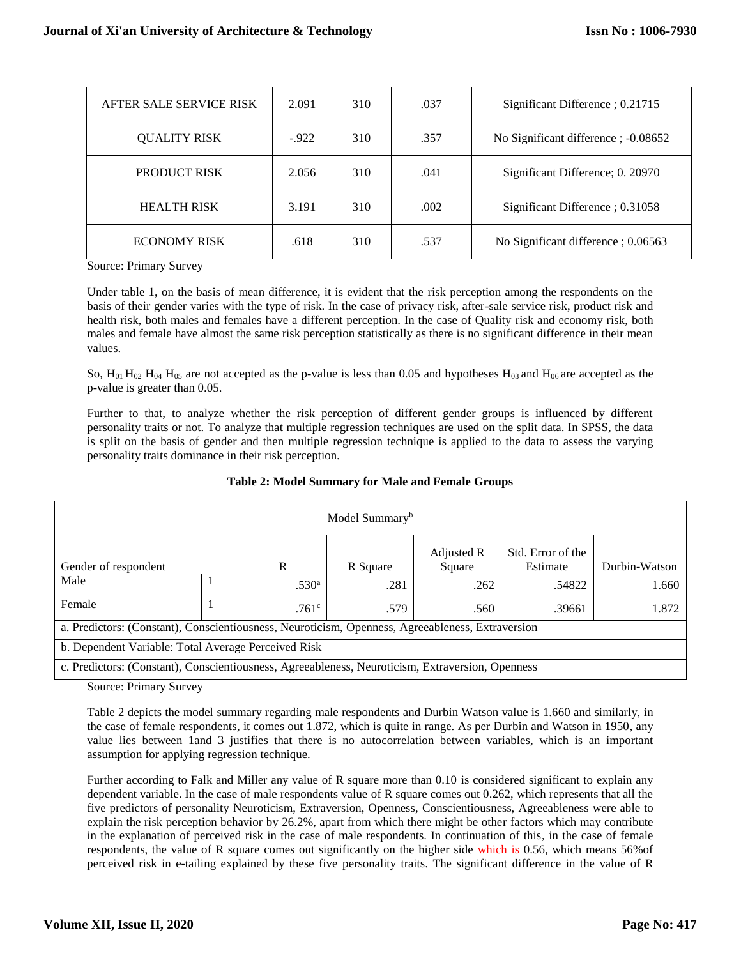| AFTER SALE SERVICE RISK | 2.091  | 310 | .037 | Significant Difference ; 0.21715    |
|-------------------------|--------|-----|------|-------------------------------------|
| <b>OUALITY RISK</b>     | $-922$ | 310 | .357 | No Significant difference; -0.08652 |
| <b>PRODUCT RISK</b>     | 2.056  | 310 | .041 | Significant Difference; 0. 20970    |
| <b>HEALTH RISK</b>      | 3.191  | 310 | .002 | Significant Difference ; 0.31058    |
| <b>ECONOMY RISK</b>     | .618   | 310 | .537 | No Significant difference; 0.06563  |

Source: Primary Survey

Under table 1, on the basis of mean difference, it is evident that the risk perception among the respondents on the basis of their gender varies with the type of risk. In the case of privacy risk, after-sale service risk, product risk and health risk, both males and females have a different perception. In the case of Quality risk and economy risk, both males and female have almost the same risk perception statistically as there is no significant difference in their mean values.

So,  $H_{01} H_{02} H_{04} H_{05}$  are not accepted as the p-value is less than 0.05 and hypotheses  $H_{03}$  and  $H_{06}$  are accepted as the p-value is greater than 0.05.

Further to that, to analyze whether the risk perception of different gender groups is influenced by different personality traits or not. To analyze that multiple regression techniques are used on the split data. In SPSS, the data is split on the basis of gender and then multiple regression technique is applied to the data to assess the varying personality traits dominance in their risk perception.

| Model Summary <sup>b</sup>                                                                       |  |                   |          |                      |                               |               |  |  |
|--------------------------------------------------------------------------------------------------|--|-------------------|----------|----------------------|-------------------------------|---------------|--|--|
| Gender of respondent                                                                             |  | R                 | R Square | Adjusted R<br>Square | Std. Error of the<br>Estimate | Durbin-Watson |  |  |
| Male                                                                                             |  | .530 <sup>a</sup> | .281     | .262                 | .54822                        | 1.660         |  |  |
| Female                                                                                           |  | .761 <sup>c</sup> | .579     | .560                 | .39661                        | 1.872         |  |  |
| a. Predictors: (Constant), Conscientiousness, Neuroticism, Openness, Agreeableness, Extraversion |  |                   |          |                      |                               |               |  |  |
| b. Dependent Variable: Total Average Perceived Risk                                              |  |                   |          |                      |                               |               |  |  |
| c. Predictors: (Constant), Conscientiousness, Agreeableness, Neuroticism, Extraversion, Openness |  |                   |          |                      |                               |               |  |  |

## **Table 2: Model Summary for Male and Female Groups**

Source: Primary Survey

Table 2 depicts the model summary regarding male respondents and Durbin Watson value is 1.660 and similarly, in the case of female respondents, it comes out 1.872, which is quite in range. As per Durbin and Watson in 1950, any value lies between 1and 3 justifies that there is no autocorrelation between variables, which is an important assumption for applying regression technique.

Further according to Falk and Miller any value of R square more than 0.10 is considered significant to explain any dependent variable. In the case of male respondents value of R square comes out 0.262, which represents that all the five predictors of personality Neuroticism, Extraversion, Openness, Conscientiousness, Agreeableness were able to explain the risk perception behavior by 26.2%, apart from which there might be other factors which may contribute in the explanation of perceived risk in the case of male respondents. In continuation of this, in the case of female respondents, the value of R square comes out significantly on the higher side which is 0.56, which means 56%of perceived risk in e-tailing explained by these five personality traits. The significant difference in the value of R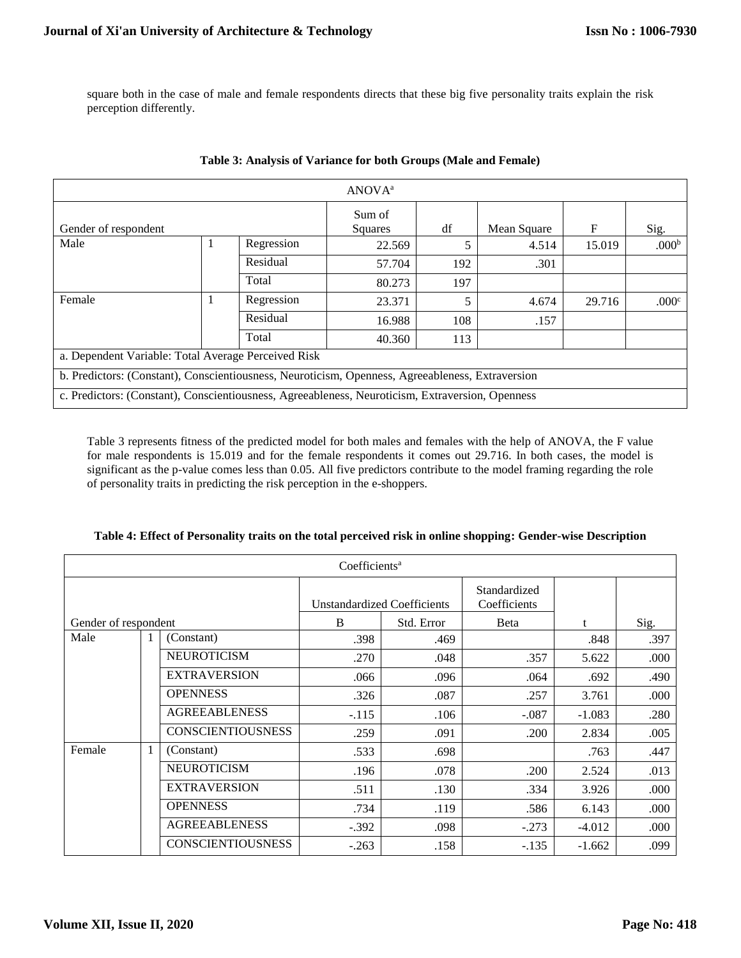square both in the case of male and female respondents directs that these big five personality traits explain the risk perception differently.

| ANOVA <sup>a</sup>                                                                               |  |            |                   |     |             |             |                   |  |
|--------------------------------------------------------------------------------------------------|--|------------|-------------------|-----|-------------|-------------|-------------------|--|
| Gender of respondent                                                                             |  |            | Sum of<br>Squares | df  | Mean Square | $\mathbf F$ | Sig.              |  |
| Male                                                                                             |  | Regression | 22.569            | 5   | 4.514       | 15.019      | .000 <sup>b</sup> |  |
|                                                                                                  |  | Residual   | 57.704            | 192 | .301        |             |                   |  |
|                                                                                                  |  | Total      | 80.273            | 197 |             |             |                   |  |
| Female                                                                                           |  | Regression | 23.371            | 5   | 4.674       | 29.716      | .000 <sup>c</sup> |  |
|                                                                                                  |  | Residual   | 16.988            | 108 | .157        |             |                   |  |
|                                                                                                  |  | Total      | 40.360            | 113 |             |             |                   |  |
| a. Dependent Variable: Total Average Perceived Risk                                              |  |            |                   |     |             |             |                   |  |
| b. Predictors: (Constant), Conscientiousness, Neuroticism, Openness, Agreeableness, Extraversion |  |            |                   |     |             |             |                   |  |
| c. Predictors: (Constant), Conscientiousness, Agreeableness, Neuroticism, Extraversion, Openness |  |            |                   |     |             |             |                   |  |

# **Table 3: Analysis of Variance for both Groups (Male and Female)**

Table 3 represents fitness of the predicted model for both males and females with the help of ANOVA, the F value for male respondents is 15.019 and for the female respondents it comes out 29.716. In both cases, the model is significant as the p-value comes less than 0.05. All five predictors contribute to the model framing regarding the role of personality traits in predicting the risk perception in the e-shoppers.

| Coefficients <sup>a</sup> |   |                          |                                    |      |                              |          |      |  |  |
|---------------------------|---|--------------------------|------------------------------------|------|------------------------------|----------|------|--|--|
|                           |   |                          | <b>Unstandardized Coefficients</b> |      | Standardized<br>Coefficients |          |      |  |  |
| Gender of respondent      |   | B                        | Std. Error                         | Beta | t                            | Sig.     |      |  |  |
| Male                      | 1 | (Constant)               | .398                               | .469 |                              | .848     | .397 |  |  |
|                           |   | <b>NEUROTICISM</b>       | .270                               | .048 | .357                         | 5.622    | .000 |  |  |
|                           |   | <b>EXTRAVERSION</b>      | .066                               | .096 | .064                         | .692     | .490 |  |  |
|                           |   | <b>OPENNESS</b>          | .326                               | .087 | .257                         | 3.761    | .000 |  |  |
|                           |   | <b>AGREEABLENESS</b>     | $-.115$                            | .106 | $-.087$                      | $-1.083$ | .280 |  |  |
|                           |   | <b>CONSCIENTIOUSNESS</b> | .259                               | .091 | .200                         | 2.834    | .005 |  |  |
| Female                    | 1 | (Constant)               | .533                               | .698 |                              | .763     | .447 |  |  |
|                           |   | <b>NEUROTICISM</b>       | .196                               | .078 | .200                         | 2.524    | .013 |  |  |
|                           |   | <b>EXTRAVERSION</b>      | .511                               | .130 | .334                         | 3.926    | .000 |  |  |
|                           |   | <b>OPENNESS</b>          | .734                               | .119 | .586                         | 6.143    | .000 |  |  |
|                           |   | <b>AGREEABLENESS</b>     | $-.392$                            | .098 | $-.273$                      | $-4.012$ | .000 |  |  |
|                           |   | <b>CONSCIENTIOUSNESS</b> | $-.263$                            | .158 | $-.135$                      | $-1.662$ | .099 |  |  |

**Table 4: Effect of Personality traits on the total perceived risk in online shopping: Gender-wise Description**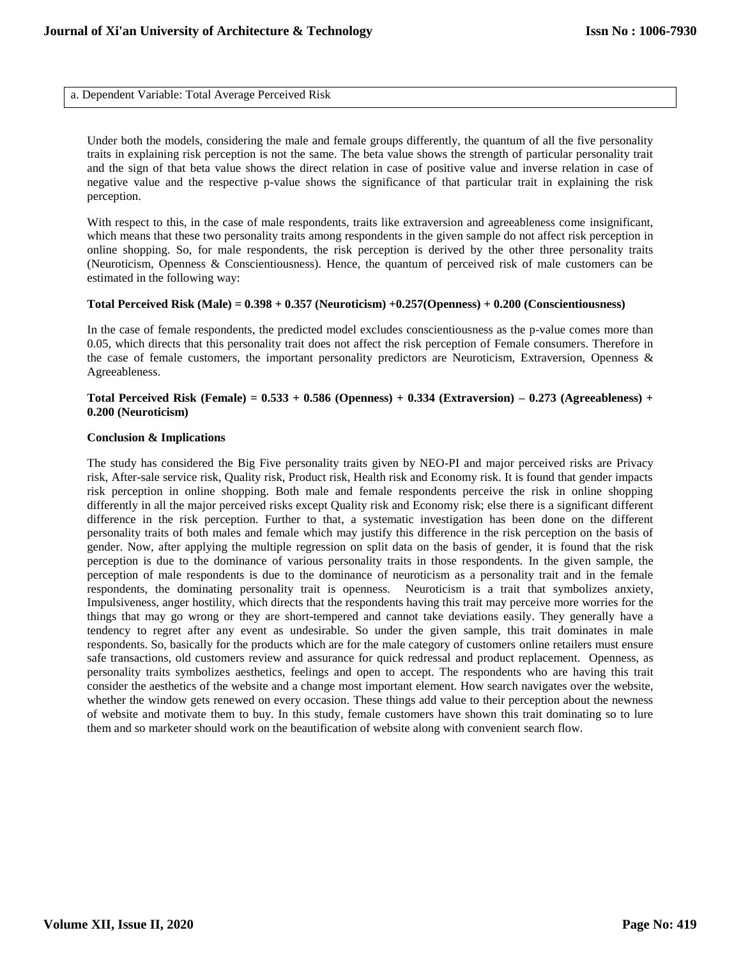a. Dependent Variable: Total Average Perceived Risk

Under both the models, considering the male and female groups differently, the quantum of all the five personality traits in explaining risk perception is not the same. The beta value shows the strength of particular personality trait and the sign of that beta value shows the direct relation in case of positive value and inverse relation in case of negative value and the respective p-value shows the significance of that particular trait in explaining the risk perception.

With respect to this, in the case of male respondents, traits like extraversion and agreeableness come insignificant, which means that these two personality traits among respondents in the given sample do not affect risk perception in online shopping. So, for male respondents, the risk perception is derived by the other three personality traits (Neuroticism, Openness & Conscientiousness). Hence, the quantum of perceived risk of male customers can be estimated in the following way:

#### **Total Perceived Risk (Male) = 0.398 + 0.357 (Neuroticism) +0.257(Openness) + 0.200 (Conscientiousness)**

In the case of female respondents, the predicted model excludes conscientiousness as the p-value comes more than 0.05, which directs that this personality trait does not affect the risk perception of Female consumers. Therefore in the case of female customers, the important personality predictors are Neuroticism, Extraversion, Openness & Agreeableness.

## **Total Perceived Risk (Female) = 0.533 + 0.586 (Openness) + 0.334 (Extraversion) – 0.273 (Agreeableness) + 0.200 (Neuroticism)**

#### **Conclusion & Implications**

The study has considered the Big Five personality traits given by NEO-PI and major perceived risks are Privacy risk, After-sale service risk, Quality risk, Product risk, Health risk and Economy risk. It is found that gender impacts risk perception in online shopping. Both male and female respondents perceive the risk in online shopping differently in all the major perceived risks except Quality risk and Economy risk; else there is a significant different difference in the risk perception. Further to that, a systematic investigation has been done on the different personality traits of both males and female which may justify this difference in the risk perception on the basis of gender. Now, after applying the multiple regression on split data on the basis of gender, it is found that the risk perception is due to the dominance of various personality traits in those respondents. In the given sample, the perception of male respondents is due to the dominance of neuroticism as a personality trait and in the female respondents, the dominating personality trait is openness. Neuroticism is a trait that symbolizes anxiety, Impulsiveness, anger hostility, which directs that the respondents having this trait may perceive more worries for the things that may go wrong or they are short-tempered and cannot take deviations easily. They generally have a tendency to regret after any event as undesirable. So under the given sample, this trait dominates in male respondents. So, basically for the products which are for the male category of customers online retailers must ensure safe transactions, old customers review and assurance for quick redressal and product replacement. Openness, as personality traits symbolizes aesthetics, feelings and open to accept. The respondents who are having this trait consider the aesthetics of the website and a change most important element. How search navigates over the website, whether the window gets renewed on every occasion. These things add value to their perception about the newness of website and motivate them to buy. In this study, female customers have shown this trait dominating so to lure them and so marketer should work on the beautification of website along with convenient search flow.